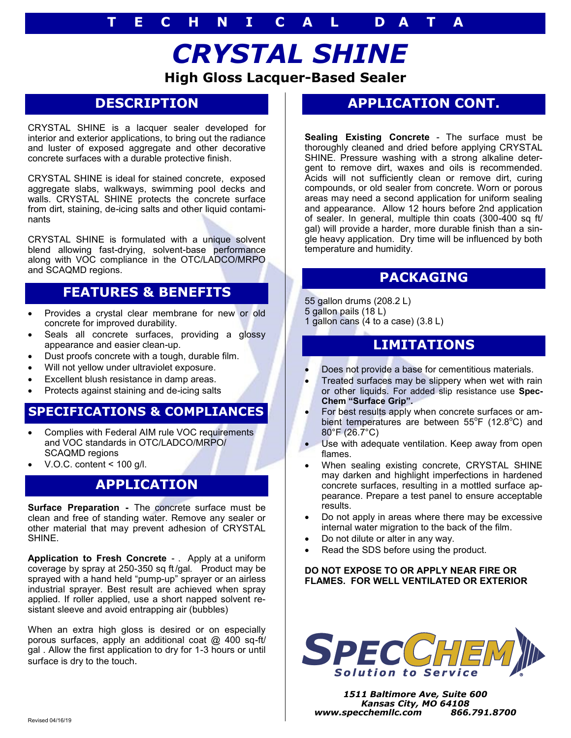# **High Gloss Lacquer-Based Sealer** *CRYSTAL SHINE*

## **DESCRIPTION**

CRYSTAL SHINE is a lacquer sealer developed for interior and exterior applications, to bring out the radiance and luster of exposed aggregate and other decorative concrete surfaces with a durable protective finish.

CRYSTAL SHINE is ideal for stained concrete, exposed aggregate slabs, walkways, swimming pool decks and walls. CRYSTAL SHINE protects the concrete surface from dirt, staining, de-icing salts and other liquid contaminants

CRYSTAL SHINE is formulated with a unique solvent blend allowing fast-drying, solvent-base performance along with VOC compliance in the OTC/LADCO/MRPO and SCAQMD regions.

#### **FEATURES & BENEFITS**

- Provides a crystal clear membrane for new or old concrete for improved durability.
- Seals all concrete surfaces, providing a glossy appearance and easier clean-up.
- Dust proofs concrete with a tough, durable film.
- Will not yellow under ultraviolet exposure.
- Excellent blush resistance in damp areas.
- Protects against staining and de-icing salts

#### **SPECIFICATIONS & COMPLIANCES**

- Complies with Federal AIM rule VOC requirements and VOC standards in OTC/LADCO/MRPO/ SCAQMD regions
- V.O.C. content < 100 g/l.

#### **APPLICATION**

**Surface Preparation -** The concrete surface must be clean and free of standing water. Remove any sealer or other material that may prevent adhesion of CRYSTAL SHINE.

**Application to Fresh Concrete** - . Apply at a uniform coverage by spray at 250-350 sq ft/gal. Product may be sprayed with a hand held "pump-up" sprayer or an airless industrial sprayer. Best result are achieved when spray applied. If roller applied, use a short napped solvent resistant sleeve and avoid entrapping air (bubbles)

When an extra high gloss is desired or on especially porous surfaces, apply an additional coat @ 400 sq-ft/ gal . Allow the first application to dry for 1-3 hours or until surface is dry to the touch.

## **APPLICATION CONT.**

**Sealing Existing Concrete** - The surface must be thoroughly cleaned and dried before applying CRYSTAL SHINE. Pressure washing with a strong alkaline detergent to remove dirt, waxes and oils is recommended. Acids will not sufficiently clean or remove dirt, curing compounds, or old sealer from concrete. Worn or porous areas may need a second application for uniform sealing and appearance. Allow 12 hours before 2nd application of sealer. In general, multiple thin coats (300-400 sq ft/ gal) will provide a harder, more durable finish than a single heavy application. Dry time will be influenced by both temperature and humidity.

#### **PACKAGING**

- 55 gallon drums (208.2 L) 5 gallon pails (18 L)
- 1 gallon cans (4 to a case) (3.8 L)

#### **LIMITATIONS**

- Does not provide a base for cementitious materials.
- Treated surfaces may be slippery when wet with rain or other liquids. For added slip resistance use **Spec-Chem "Surface Grip".**
- For best results apply when concrete surfaces or ambient temperatures are between 55°F (12.8°C) and 80°F (26.7°C)
- Use with adequate ventilation. Keep away from open flames.
- When sealing existing concrete, CRYSTAL SHINE may darken and highlight imperfections in hardened concrete surfaces, resulting in a mottled surface appearance. Prepare a test panel to ensure acceptable results.
- Do not apply in areas where there may be excessive internal water migration to the back of the film.
- Do not dilute or alter in any way.
- Read the SDS before using the product.

#### **DO NOT EXPOSE TO OR APPLY NEAR FIRE OR FLAMES. FOR WELL VENTILATED OR EXTERIOR**



*1511 Baltimore Ave, Suite 600 Kansas City, MO 64108 www.specchemllc.com 866.791.8700*